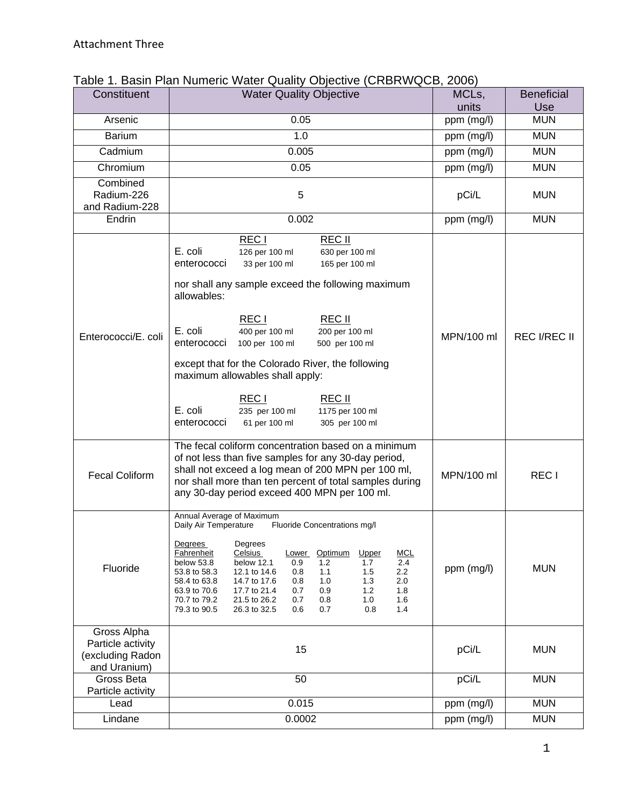| Constituent                                                          | <b>Water Quality Objective</b>                                                                                                                                                                                                                                                                                                                                                                                                                                                                                                                          | MCLs,               | <b>Beneficial</b>   |
|----------------------------------------------------------------------|---------------------------------------------------------------------------------------------------------------------------------------------------------------------------------------------------------------------------------------------------------------------------------------------------------------------------------------------------------------------------------------------------------------------------------------------------------------------------------------------------------------------------------------------------------|---------------------|---------------------|
| Arsenic                                                              | 0.05                                                                                                                                                                                                                                                                                                                                                                                                                                                                                                                                                    | units<br>ppm (mg/l) | Use<br><b>MUN</b>   |
| <b>Barium</b>                                                        | 1.0                                                                                                                                                                                                                                                                                                                                                                                                                                                                                                                                                     | ppm (mg/l)          | <b>MUN</b>          |
| Cadmium                                                              | 0.005                                                                                                                                                                                                                                                                                                                                                                                                                                                                                                                                                   |                     | <b>MUN</b>          |
|                                                                      |                                                                                                                                                                                                                                                                                                                                                                                                                                                                                                                                                         | ppm (mg/l)          | <b>MUN</b>          |
| Chromium                                                             | 0.05                                                                                                                                                                                                                                                                                                                                                                                                                                                                                                                                                    | ppm (mg/l)          |                     |
| Combined<br>Radium-226                                               | 5                                                                                                                                                                                                                                                                                                                                                                                                                                                                                                                                                       | pCi/L               | <b>MUN</b>          |
| and Radium-228                                                       |                                                                                                                                                                                                                                                                                                                                                                                                                                                                                                                                                         |                     |                     |
| Endrin                                                               | 0.002                                                                                                                                                                                                                                                                                                                                                                                                                                                                                                                                                   | ppm (mg/l)          | <b>MUN</b>          |
| Enterococci/E. coli                                                  | REC <sub>I</sub><br>REC II<br>E. coli<br>126 per 100 ml<br>630 per 100 ml<br>enterococci<br>33 per 100 ml<br>165 per 100 ml<br>nor shall any sample exceed the following maximum<br>allowables:<br>REC <sub>I</sub><br>REC II<br>E. coli<br>400 per 100 ml<br>200 per 100 ml<br>enterococci<br>100 per 100 ml<br>500 per 100 ml<br>except that for the Colorado River, the following<br>maximum allowables shall apply:<br>REC <sub>I</sub><br>REC II<br>E. coli<br>235 per 100 ml<br>1175 per 100 ml<br>enterococci<br>61 per 100 ml<br>305 per 100 ml | MPN/100 ml          | <b>REC I/REC II</b> |
| <b>Fecal Coliform</b>                                                | The fecal coliform concentration based on a minimum<br>of not less than five samples for any 30-day period,<br>shall not exceed a log mean of 200 MPN per 100 ml,<br>nor shall more than ten percent of total samples during<br>any 30-day period exceed 400 MPN per 100 ml.                                                                                                                                                                                                                                                                            | MPN/100 ml          | REC <sub>1</sub>    |
| Fluoride                                                             | Annual Average of Maximum<br>Daily Air Temperature<br>Fluoride Concentrations mg/l<br>Degrees Degrees<br><b>MCL</b><br><b>Fahrenheit</b><br>Celsius<br>Optimum<br>Upper<br>Lower<br>below 53.8<br>below 12.1<br>2.4<br>0.9<br>1.2<br>1.7<br>12.1 to 14.6<br>1.5<br>2.2<br>53.8 to 58.3<br>0.8<br>1.1<br>14.7 to 17.6<br>1.0<br>1.3<br>2.0<br>58.4 to 63.8<br>0.8<br>63.9 to 70.6<br>17.7 to 21.4<br>0.9<br>1.2<br>1.8<br>0.7<br>70.7 to 79.2<br>21.5 to 26.2<br>0.7<br>0.8<br>1.0<br>1.6<br>79.3 to 90.5<br>0.6<br>0.7<br>0.8<br>1.4<br>26.3 to 32.5    | ppm (mg/l)          | <b>MUN</b>          |
| Gross Alpha<br>Particle activity<br>(excluding Radon<br>and Uranium) | 15                                                                                                                                                                                                                                                                                                                                                                                                                                                                                                                                                      | pCi/L               | <b>MUN</b>          |
| Gross Beta<br>Particle activity                                      | 50                                                                                                                                                                                                                                                                                                                                                                                                                                                                                                                                                      | pCi/L               | <b>MUN</b>          |
| Lead                                                                 | 0.015                                                                                                                                                                                                                                                                                                                                                                                                                                                                                                                                                   | ppm (mg/l)          | <b>MUN</b>          |
| Lindane                                                              | 0.0002                                                                                                                                                                                                                                                                                                                                                                                                                                                                                                                                                  | ppm (mg/l)          | <b>MUN</b>          |

## Table 1. Basin Plan Numeric Water Quality Objective (CRBRWQCB, 2006)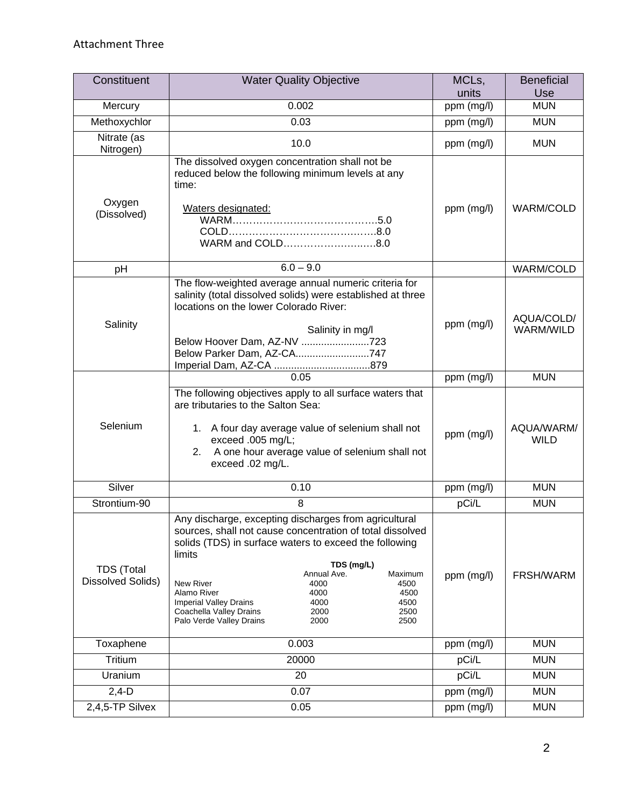| Constituent                                   | <b>Water Quality Objective</b>                                                                                                                                                                                                                                                                                                                                                                                                     | MCLs,<br>units | <b>Beneficial</b><br>Use  |
|-----------------------------------------------|------------------------------------------------------------------------------------------------------------------------------------------------------------------------------------------------------------------------------------------------------------------------------------------------------------------------------------------------------------------------------------------------------------------------------------|----------------|---------------------------|
| Mercury                                       | 0.002                                                                                                                                                                                                                                                                                                                                                                                                                              | ppm (mg/l)     | <b>MUN</b>                |
| Methoxychlor                                  | 0.03                                                                                                                                                                                                                                                                                                                                                                                                                               | ppm (mg/l)     | <b>MUN</b>                |
| Nitrate (as                                   |                                                                                                                                                                                                                                                                                                                                                                                                                                    |                |                           |
| Nitrogen)                                     | 10.0                                                                                                                                                                                                                                                                                                                                                                                                                               | ppm (mg/l)     | <b>MUN</b>                |
| Oxygen<br>(Dissolved)                         | The dissolved oxygen concentration shall not be<br>reduced below the following minimum levels at any<br>time:<br>Waters designated:<br>WARM and COLD8.0                                                                                                                                                                                                                                                                            | ppm (mg/l)     | <b>WARM/COLD</b>          |
| рH                                            | $6.0 - 9.0$                                                                                                                                                                                                                                                                                                                                                                                                                        |                | <b>WARM/COLD</b>          |
| Salinity                                      | The flow-weighted average annual numeric criteria for<br>salinity (total dissolved solids) were established at three<br>locations on the lower Colorado River:<br>Salinity in mg/l<br>Below Hoover Dam, AZ-NV 723<br>Below Parker Dam, AZ-CA747                                                                                                                                                                                    | ppm (mg/l)     | AQUA/COLD/<br>WARM/WILD   |
|                                               | 0.05                                                                                                                                                                                                                                                                                                                                                                                                                               | ppm (mg/l)     | <b>MUN</b>                |
| Selenium                                      | The following objectives apply to all surface waters that<br>are tributaries to the Salton Sea:<br>1. A four day average value of selenium shall not<br>exceed .005 mg/L;<br>2. A one hour average value of selenium shall not<br>exceed .02 mg/L.                                                                                                                                                                                 | ppm (mg/l)     | AQUA/WARM/<br><b>WILD</b> |
| Silver                                        | 0.10                                                                                                                                                                                                                                                                                                                                                                                                                               | ppm (mg/l)     | <b>MUN</b>                |
| Strontium-90                                  | 8                                                                                                                                                                                                                                                                                                                                                                                                                                  | pCi/L          | <b>MUN</b>                |
| <b>TDS (Total</b><br><b>Dissolved Solids)</b> | Any discharge, excepting discharges from agricultural<br>sources, shall not cause concentration of total dissolved<br>solids (TDS) in surface waters to exceed the following<br>limits<br>TDS (mg/L)<br>Annual Ave.<br>Maximum<br>New River<br>4000<br>4500<br>Alamo River<br>4000<br>4500<br>4000<br><b>Imperial Valley Drains</b><br>4500<br>Coachella Valley Drains<br>2000<br>2500<br>Palo Verde Valley Drains<br>2000<br>2500 | ppm (mg/l)     | FRSH/WARM                 |
| Toxaphene                                     | 0.003                                                                                                                                                                                                                                                                                                                                                                                                                              | ppm (mg/l)     | <b>MUN</b>                |
| Tritium                                       | 20000                                                                                                                                                                                                                                                                                                                                                                                                                              | pCi/L          | <b>MUN</b>                |
| Uranium                                       | 20                                                                                                                                                                                                                                                                                                                                                                                                                                 | pCi/L          | <b>MUN</b>                |
| $2,4-D$                                       | 0.07                                                                                                                                                                                                                                                                                                                                                                                                                               | ppm (mg/l)     | <b>MUN</b>                |
| 2,4,5-TP Silvex                               | 0.05                                                                                                                                                                                                                                                                                                                                                                                                                               | ppm (mg/l)     | <b>MUN</b>                |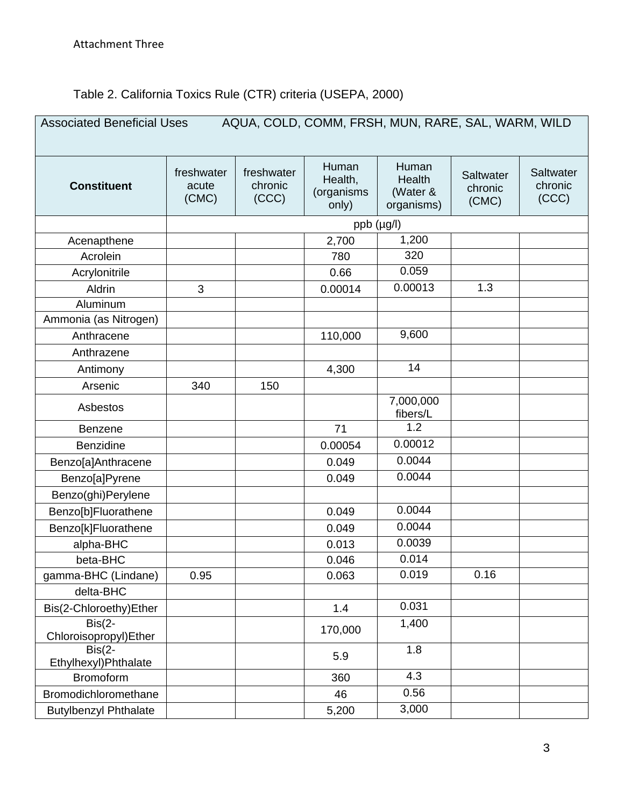## Table 2. California Toxics Rule (CTR) criteria (USEPA, 2000)

| AQUA, COLD, COMM, FRSH, MUN, RARE, SAL, WARM, WILD<br><b>Associated Beneficial Uses</b> |                              |                                |                                         |                                                  |                               |                               |
|-----------------------------------------------------------------------------------------|------------------------------|--------------------------------|-----------------------------------------|--------------------------------------------------|-------------------------------|-------------------------------|
| <b>Constituent</b>                                                                      | freshwater<br>acute<br>(CMC) | freshwater<br>chronic<br>(CCC) | Human<br>Health,<br>(organisms<br>only) | Human<br><b>Health</b><br>(Water &<br>organisms) | Saltwater<br>chronic<br>(CMC) | Saltwater<br>chronic<br>(CCC) |
|                                                                                         |                              |                                | $ppb$ ( $\mu$ g/l)                      |                                                  |                               |                               |
| Acenapthene                                                                             |                              |                                | 2,700                                   | 1,200                                            |                               |                               |
| Acrolein                                                                                |                              |                                | 780                                     | 320                                              |                               |                               |
| Acrylonitrile                                                                           |                              |                                | 0.66                                    | 0.059                                            |                               |                               |
| Aldrin                                                                                  | 3                            |                                | 0.00014                                 | 0.00013                                          | 1.3                           |                               |
| Aluminum                                                                                |                              |                                |                                         |                                                  |                               |                               |
| Ammonia (as Nitrogen)                                                                   |                              |                                |                                         |                                                  |                               |                               |
| Anthracene                                                                              |                              |                                | 110,000                                 | 9,600                                            |                               |                               |
| Anthrazene                                                                              |                              |                                |                                         |                                                  |                               |                               |
| Antimony                                                                                |                              |                                | 4,300                                   | 14                                               |                               |                               |
| Arsenic                                                                                 | 340                          | 150                            |                                         |                                                  |                               |                               |
| Asbestos                                                                                |                              |                                |                                         | 7,000,000<br>fibers/L                            |                               |                               |
| <b>Benzene</b>                                                                          |                              |                                | 71                                      | 1.2                                              |                               |                               |
| <b>Benzidine</b>                                                                        |                              |                                | 0.00054                                 | 0.00012                                          |                               |                               |
| Benzo[a]Anthracene                                                                      |                              |                                | 0.049                                   | 0.0044                                           |                               |                               |
| Benzo[a]Pyrene                                                                          |                              |                                | 0.049                                   | 0.0044                                           |                               |                               |
| Benzo(ghi)Perylene                                                                      |                              |                                |                                         |                                                  |                               |                               |
| Benzo[b]Fluorathene                                                                     |                              |                                | 0.049                                   | 0.0044                                           |                               |                               |
| Benzo[k]Fluorathene                                                                     |                              |                                | 0.049                                   | 0.0044                                           |                               |                               |
| alpha-BHC                                                                               |                              |                                | 0.013                                   | 0.0039                                           |                               |                               |
| beta-BHC                                                                                |                              |                                | 0.046                                   | 0.014                                            |                               |                               |
| gamma-BHC (Lindane)                                                                     | 0.95                         |                                | 0.063                                   | 0.019                                            | 0.16                          |                               |
| delta-BHC                                                                               |                              |                                |                                         |                                                  |                               |                               |
| Bis(2-Chloroethy)Ether                                                                  |                              |                                | 1.4                                     | 0.031                                            |                               |                               |
| $Bis(2-$<br>Chloroisopropyl)Ether                                                       |                              |                                | 170,000                                 | 1,400                                            |                               |                               |
| $Bis(2-$<br>Ethylhexyl) Phthalate                                                       |                              |                                | 5.9                                     | 1.8                                              |                               |                               |
| <b>Bromoform</b>                                                                        |                              |                                | 360                                     | 4.3                                              |                               |                               |
| Bromodichloromethane                                                                    |                              |                                | 46                                      | 0.56                                             |                               |                               |
| <b>Butylbenzyl Phthalate</b>                                                            |                              |                                | 5,200                                   | 3,000                                            |                               |                               |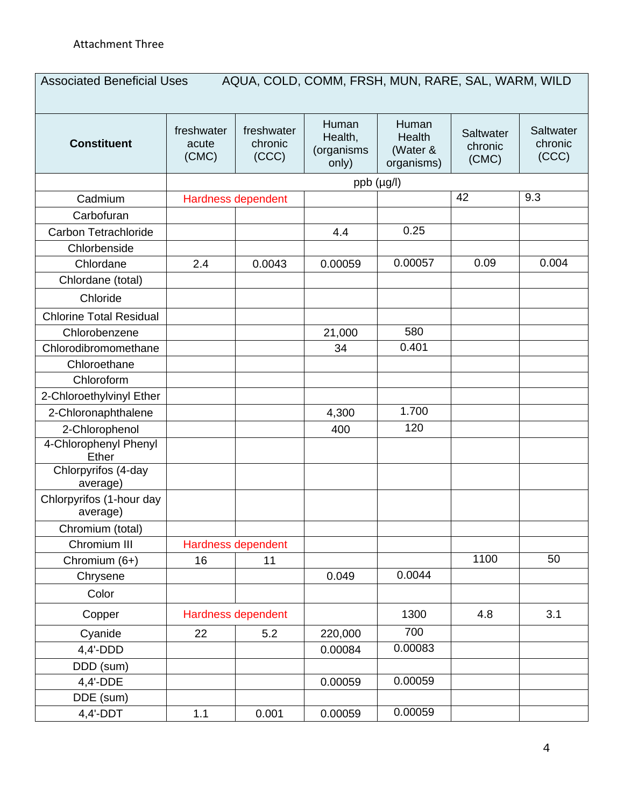| <b>Constituent</b>                   | freshwater<br>acute<br>(CMC) | freshwater<br>chronic<br>(CCC) | Human<br>Health,<br>(organisms<br>only) | Human<br>Health<br>(Water &<br>organisms) | Saltwater<br>chronic<br>(CMC) | <b>Saltwater</b><br>chronic<br>(CCC) |
|--------------------------------------|------------------------------|--------------------------------|-----------------------------------------|-------------------------------------------|-------------------------------|--------------------------------------|
|                                      |                              |                                | ppb (µg/l)                              |                                           |                               |                                      |
| Cadmium                              |                              | Hardness dependent             |                                         |                                           | 42                            | 9.3                                  |
| Carbofuran                           |                              |                                |                                         |                                           |                               |                                      |
| Carbon Tetrachloride                 |                              |                                | 4.4                                     | 0.25                                      |                               |                                      |
| Chlorbenside                         |                              |                                |                                         |                                           |                               |                                      |
| Chlordane                            | 2.4                          | 0.0043                         | 0.00059                                 | 0.00057                                   | 0.09                          | 0.004                                |
| Chlordane (total)                    |                              |                                |                                         |                                           |                               |                                      |
| Chloride                             |                              |                                |                                         |                                           |                               |                                      |
| <b>Chlorine Total Residual</b>       |                              |                                |                                         |                                           |                               |                                      |
| Chlorobenzene                        |                              |                                | 21,000                                  | 580                                       |                               |                                      |
| Chlorodibromomethane                 |                              |                                | 34                                      | 0.401                                     |                               |                                      |
| Chloroethane                         |                              |                                |                                         |                                           |                               |                                      |
| Chloroform                           |                              |                                |                                         |                                           |                               |                                      |
| 2-Chloroethylvinyl Ether             |                              |                                |                                         |                                           |                               |                                      |
| 2-Chloronaphthalene                  |                              |                                | 4,300                                   | 1.700                                     |                               |                                      |
| 2-Chlorophenol                       |                              |                                | 400                                     | 120                                       |                               |                                      |
| 4-Chlorophenyl Phenyl<br>Ether       |                              |                                |                                         |                                           |                               |                                      |
| Chlorpyrifos (4-day<br>average)      |                              |                                |                                         |                                           |                               |                                      |
| Chlorpyrifos (1-hour day<br>average) |                              |                                |                                         |                                           |                               |                                      |
| Chromium (total)                     |                              |                                |                                         |                                           |                               |                                      |
| Chromium III                         |                              | Hardness dependent             |                                         |                                           |                               |                                      |
| Chromium (6+)                        | 16                           | 11                             |                                         |                                           | 1100                          | 50                                   |
| Chrysene                             |                              |                                | 0.049                                   | 0.0044                                    |                               |                                      |
| Color                                |                              |                                |                                         |                                           |                               |                                      |
| Copper                               |                              | Hardness dependent             |                                         | 1300                                      | 4.8                           | 3.1                                  |
| Cyanide                              | 22                           | 5.2                            | 220,000                                 | 700                                       |                               |                                      |
| 4,4'-DDD                             |                              |                                | 0.00084                                 | 0.00083                                   |                               |                                      |
| DDD (sum)                            |                              |                                |                                         |                                           |                               |                                      |
| 4,4'-DDE                             |                              |                                | 0.00059                                 | 0.00059                                   |                               |                                      |
| DDE (sum)                            |                              |                                |                                         |                                           |                               |                                      |
| $4,4'-DDT$                           | $1.1$                        | 0.001                          | 0.00059                                 | 0.00059                                   |                               |                                      |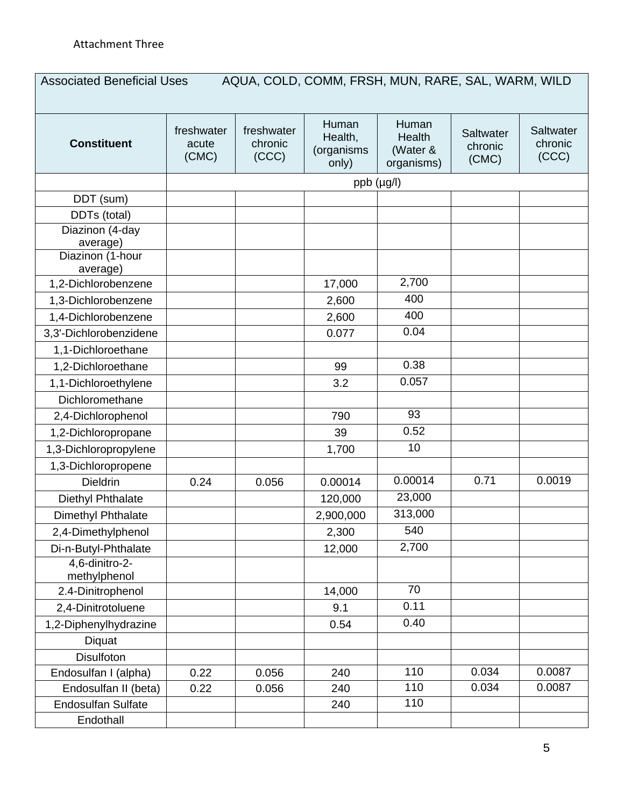| <b>Constituent</b>           | freshwater<br>acute<br>(CMC) | freshwater<br>chronic<br>(CCC) | Human<br>Health,<br>(organisms<br>only) | Human<br>Health<br>(Water &<br>organisms) | Saltwater<br>chronic<br>(CMC) | <b>Saltwater</b><br>chronic<br>(CCC) |
|------------------------------|------------------------------|--------------------------------|-----------------------------------------|-------------------------------------------|-------------------------------|--------------------------------------|
|                              |                              |                                | ppb (µg/l)                              |                                           |                               |                                      |
| DDT (sum)                    |                              |                                |                                         |                                           |                               |                                      |
| DDTs (total)                 |                              |                                |                                         |                                           |                               |                                      |
| Diazinon (4-day              |                              |                                |                                         |                                           |                               |                                      |
| average)                     |                              |                                |                                         |                                           |                               |                                      |
| Diazinon (1-hour<br>average) |                              |                                |                                         |                                           |                               |                                      |
| 1,2-Dichlorobenzene          |                              |                                | 17,000                                  | 2,700                                     |                               |                                      |
| 1,3-Dichlorobenzene          |                              |                                | 2,600                                   | 400                                       |                               |                                      |
| 1,4-Dichlorobenzene          |                              |                                | 2,600                                   | 400                                       |                               |                                      |
| 3,3'-Dichlorobenzidene       |                              |                                | 0.077                                   | 0.04                                      |                               |                                      |
| 1,1-Dichloroethane           |                              |                                |                                         |                                           |                               |                                      |
| 1,2-Dichloroethane           |                              |                                | 99                                      | 0.38                                      |                               |                                      |
| 1,1-Dichloroethylene         |                              |                                | 3.2                                     | 0.057                                     |                               |                                      |
| Dichloromethane              |                              |                                |                                         |                                           |                               |                                      |
| 2,4-Dichlorophenol           |                              |                                | 790                                     | 93                                        |                               |                                      |
| 1,2-Dichloropropane          |                              |                                | 39                                      | 0.52                                      |                               |                                      |
| 1,3-Dichloropropylene        |                              |                                | 1,700                                   | 10                                        |                               |                                      |
| 1,3-Dichloropropene          |                              |                                |                                         |                                           |                               |                                      |
| <b>Dieldrin</b>              | 0.24                         | 0.056                          | 0.00014                                 | 0.00014                                   | 0.71                          | 0.0019                               |
| Diethyl Phthalate            |                              |                                | 120,000                                 | 23,000                                    |                               |                                      |
| Dimethyl Phthalate           |                              |                                | 2,900,000                               | 313,000                                   |                               |                                      |
| 2,4-Dimethylphenol           |                              |                                | 2,300                                   | 540                                       |                               |                                      |
| Di-n-Butyl-Phthalate         |                              |                                | 12,000                                  | 2,700                                     |                               |                                      |
| 4,6-dinitro-2-               |                              |                                |                                         |                                           |                               |                                      |
| methylphenol                 |                              |                                |                                         |                                           |                               |                                      |
| 2.4-Dinitrophenol            |                              |                                | 14,000                                  | 70                                        |                               |                                      |
| 2,4-Dinitrotoluene           |                              |                                | 9.1                                     | 0.11                                      |                               |                                      |
| 1,2-Diphenylhydrazine        |                              |                                | 0.54                                    | 0.40                                      |                               |                                      |
| Diquat                       |                              |                                |                                         |                                           |                               |                                      |
| <b>Disulfoton</b>            |                              |                                |                                         |                                           |                               |                                      |
| Endosulfan I (alpha)         | 0.22                         | 0.056                          | 240                                     | 110                                       | 0.034                         | 0.0087                               |
| Endosulfan II (beta)         | 0.22                         | 0.056                          | 240                                     | 110                                       | 0.034                         | 0.0087                               |
| <b>Endosulfan Sulfate</b>    |                              |                                | 240                                     | 110                                       |                               |                                      |
| Endothall                    |                              |                                |                                         |                                           |                               |                                      |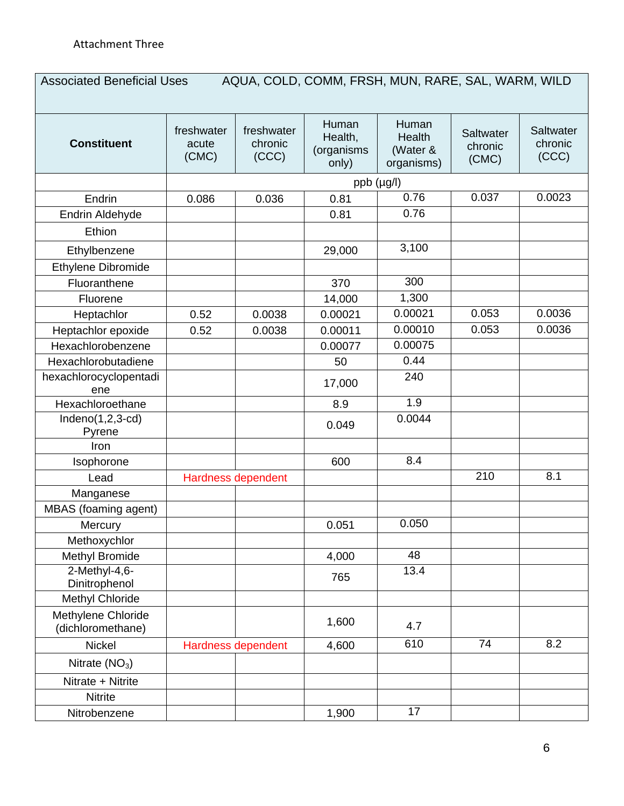| <b>Constituent</b>                      | freshwater<br>acute<br>(CMC) | freshwater<br>chronic<br>(CCC) | Human<br>Health,<br>(organisms<br>only) | Human<br>Health<br>(Water &<br>organisms) | Saltwater<br>chronic<br>(CMC) | Saltwater<br>chronic<br>(CCC) |
|-----------------------------------------|------------------------------|--------------------------------|-----------------------------------------|-------------------------------------------|-------------------------------|-------------------------------|
|                                         |                              |                                | ppb (µg/l)                              |                                           |                               |                               |
| Endrin                                  | 0.086                        | 0.036                          | 0.81                                    | 0.76                                      | 0.037                         | 0.0023                        |
| Endrin Aldehyde                         |                              |                                | 0.81                                    | 0.76                                      |                               |                               |
| Ethion                                  |                              |                                |                                         |                                           |                               |                               |
| Ethylbenzene                            |                              |                                | 29,000                                  | 3,100                                     |                               |                               |
| Ethylene Dibromide                      |                              |                                |                                         |                                           |                               |                               |
| Fluoranthene                            |                              |                                | 370                                     | 300                                       |                               |                               |
| Fluorene                                |                              |                                | 14,000                                  | 1,300                                     |                               |                               |
| Heptachlor                              | 0.52                         | 0.0038                         | 0.00021                                 | 0.00021                                   | 0.053                         | 0.0036                        |
| Heptachlor epoxide                      | 0.52                         | 0.0038                         | 0.00011                                 | 0.00010                                   | 0.053                         | 0.0036                        |
| Hexachlorobenzene                       |                              |                                | 0.00077                                 | 0.00075                                   |                               |                               |
| Hexachlorobutadiene                     |                              |                                | 50                                      | 0.44                                      |                               |                               |
| hexachlorocyclopentadi<br>ene           |                              |                                | 17,000                                  | 240                                       |                               |                               |
| Hexachloroethane                        |                              |                                | 8.9                                     | 1.9                                       |                               |                               |
| $Indeno(1,2,3-cd)$<br>Pyrene            |                              |                                | 0.049                                   | 0.0044                                    |                               |                               |
| Iron                                    |                              |                                |                                         |                                           |                               |                               |
| Isophorone                              |                              |                                | 600                                     | 8.4                                       |                               |                               |
| Lead                                    |                              | Hardness dependent             |                                         |                                           | 210                           | 8.1                           |
| Manganese                               |                              |                                |                                         |                                           |                               |                               |
| MBAS (foaming agent)                    |                              |                                |                                         |                                           |                               |                               |
| Mercury                                 |                              |                                | 0.051                                   | 0.050                                     |                               |                               |
| Methoxychlor                            |                              |                                |                                         |                                           |                               |                               |
| <b>Methyl Bromide</b>                   |                              |                                | 4,000                                   | 48                                        |                               |                               |
| 2-Methyl-4,6-<br>Dinitrophenol          |                              |                                | 765                                     | 13.4                                      |                               |                               |
| <b>Methyl Chloride</b>                  |                              |                                |                                         |                                           |                               |                               |
| Methylene Chloride<br>(dichloromethane) |                              |                                | 1,600                                   | 4.7                                       |                               |                               |
| <b>Nickel</b>                           |                              | Hardness dependent             | 4,600                                   | 610                                       | 74                            | 8.2                           |
| Nitrate $(NO3)$                         |                              |                                |                                         |                                           |                               |                               |
| Nitrate + Nitrite                       |                              |                                |                                         |                                           |                               |                               |
| <b>Nitrite</b>                          |                              |                                |                                         |                                           |                               |                               |
| Nitrobenzene                            |                              |                                | 1,900                                   | 17                                        |                               |                               |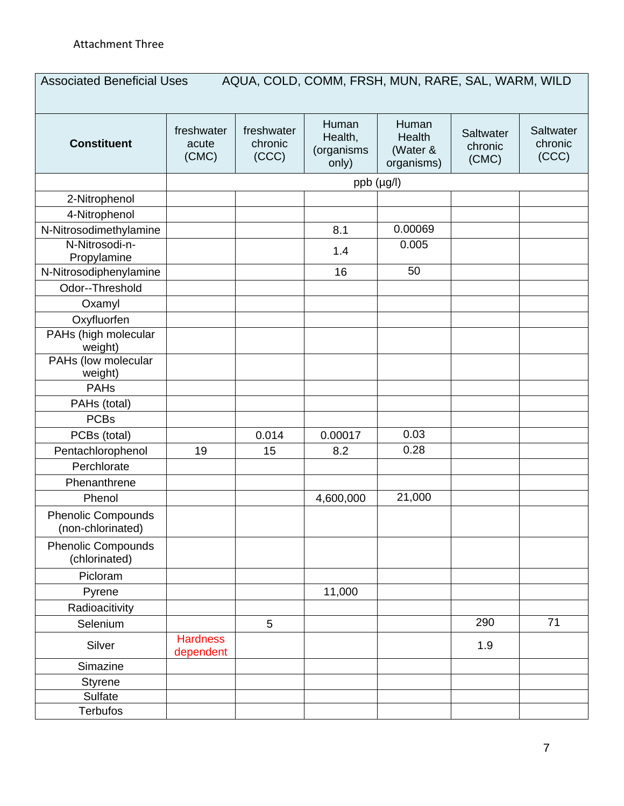| <b>Constituent</b>                             | freshwater<br>acute<br>(CMC) | freshwater<br>chronic<br>(CCC) | Human<br>Health,<br>(organisms<br>only) | Human<br>Health<br>(Water &<br>organisms) | Saltwater<br>chronic<br>(CMC) | Saltwater<br>chronic<br>(CCC) |
|------------------------------------------------|------------------------------|--------------------------------|-----------------------------------------|-------------------------------------------|-------------------------------|-------------------------------|
|                                                |                              |                                | ppb (µg/l)                              |                                           |                               |                               |
| 2-Nitrophenol                                  |                              |                                |                                         |                                           |                               |                               |
| 4-Nitrophenol                                  |                              |                                |                                         |                                           |                               |                               |
| N-Nitrosodimethylamine                         |                              |                                | 8.1                                     | 0.00069                                   |                               |                               |
| N-Nitrosodi-n-<br>Propylamine                  |                              |                                | 1.4                                     | 0.005                                     |                               |                               |
| N-Nitrosodiphenylamine                         |                              |                                | 16                                      | 50                                        |                               |                               |
| Odor--Threshold                                |                              |                                |                                         |                                           |                               |                               |
| Oxamyl                                         |                              |                                |                                         |                                           |                               |                               |
| Oxyfluorfen                                    |                              |                                |                                         |                                           |                               |                               |
| PAHs (high molecular<br>weight)                |                              |                                |                                         |                                           |                               |                               |
| PAHs (low molecular<br>weight)                 |                              |                                |                                         |                                           |                               |                               |
| <b>PAHs</b>                                    |                              |                                |                                         |                                           |                               |                               |
| PAHs (total)                                   |                              |                                |                                         |                                           |                               |                               |
| <b>PCBs</b>                                    |                              |                                |                                         |                                           |                               |                               |
| PCBs (total)                                   |                              | 0.014                          | 0.00017                                 | 0.03                                      |                               |                               |
| Pentachlorophenol                              | 19                           | 15                             | 8.2                                     | 0.28                                      |                               |                               |
| Perchlorate                                    |                              |                                |                                         |                                           |                               |                               |
| Phenanthrene                                   |                              |                                |                                         |                                           |                               |                               |
| Phenol                                         |                              |                                | 4,600,000                               | 21,000                                    |                               |                               |
| <b>Phenolic Compounds</b><br>(non-chlorinated) |                              |                                |                                         |                                           |                               |                               |
| <b>Phenolic Compounds</b><br>(chlorinated)     |                              |                                |                                         |                                           |                               |                               |
| Picloram                                       |                              |                                |                                         |                                           |                               |                               |
| Pyrene                                         |                              |                                | 11,000                                  |                                           |                               |                               |
| Radioacitivity                                 |                              |                                |                                         |                                           |                               |                               |
| Selenium                                       |                              | 5                              |                                         |                                           | 290                           | $\overline{71}$               |
| Silver                                         | <b>Hardness</b><br>dependent |                                |                                         |                                           | 1.9                           |                               |
| Simazine                                       |                              |                                |                                         |                                           |                               |                               |
| <b>Styrene</b>                                 |                              |                                |                                         |                                           |                               |                               |
| Sulfate                                        |                              |                                |                                         |                                           |                               |                               |
| <b>Terbufos</b>                                |                              |                                |                                         |                                           |                               |                               |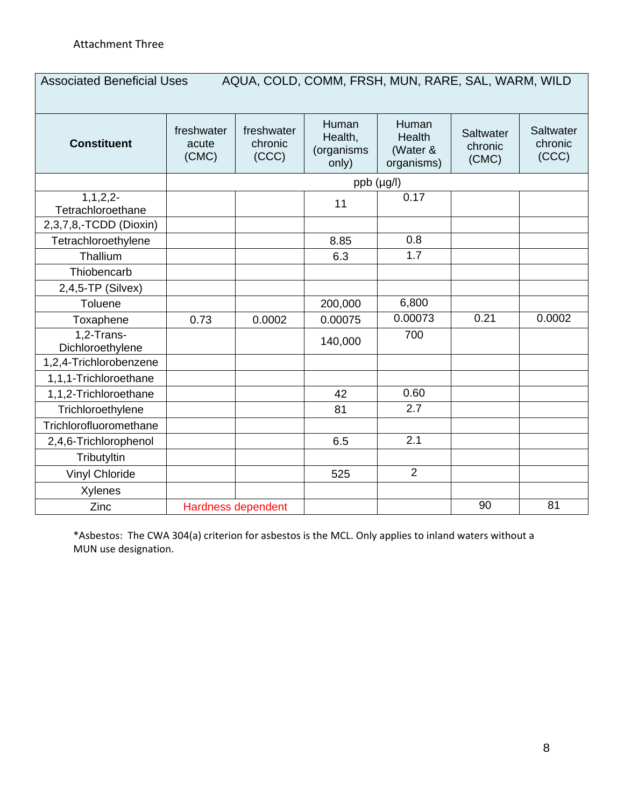## Associated Beneficial Uses AQUA, COLD, COMM, FRSH, MUN, RARE, SAL, WARM, WILD

| <b>Constituent</b>                  | freshwater<br>acute<br>(CMC) | freshwater<br>chronic<br>(CCC) | Human<br>Health,<br>(organisms<br>only) | Human<br>Health<br>(Water &<br>organisms) | Saltwater<br>chronic<br>(CMC) | Saltwater<br>chronic<br>(CCC) |
|-------------------------------------|------------------------------|--------------------------------|-----------------------------------------|-------------------------------------------|-------------------------------|-------------------------------|
|                                     |                              |                                | $ppb$ ( $\mu$ g/l)                      |                                           |                               |                               |
| $1, 1, 2, 2$ -<br>Tetrachloroethane |                              |                                | 11                                      | 0.17                                      |                               |                               |
| 2,3,7,8,-TCDD (Dioxin)              |                              |                                |                                         |                                           |                               |                               |
| Tetrachloroethylene                 |                              |                                | 8.85                                    | 0.8                                       |                               |                               |
| Thallium                            |                              |                                | 6.3                                     | 1.7                                       |                               |                               |
| Thiobencarb                         |                              |                                |                                         |                                           |                               |                               |
| $2,4,5$ -TP (Silvex)                |                              |                                |                                         |                                           |                               |                               |
| Toluene                             |                              |                                | 200,000                                 | 6,800                                     |                               |                               |
| Toxaphene                           | 0.73                         | 0.0002                         | 0.00075                                 | 0.00073                                   | 0.21                          | 0.0002                        |
| 1,2-Trans-<br>Dichloroethylene      |                              |                                | 140,000                                 | 700                                       |                               |                               |
| 1,2,4-Trichlorobenzene              |                              |                                |                                         |                                           |                               |                               |
| 1,1,1-Trichloroethane               |                              |                                |                                         |                                           |                               |                               |
| 1,1,2-Trichloroethane               |                              |                                | 42                                      | 0.60                                      |                               |                               |
| Trichloroethylene                   |                              |                                | 81                                      | 2.7                                       |                               |                               |
| Trichlorofluoromethane              |                              |                                |                                         |                                           |                               |                               |
| 2,4,6-Trichlorophenol               |                              |                                | 6.5                                     | 2.1                                       |                               |                               |
| Tributyltin                         |                              |                                |                                         |                                           |                               |                               |
| <b>Vinyl Chloride</b>               |                              |                                | 525                                     | $\overline{2}$                            |                               |                               |
| <b>Xylenes</b>                      |                              |                                |                                         |                                           |                               |                               |
| Zinc                                |                              | <b>Hardness dependent</b>      |                                         |                                           | 90                            | 81                            |

\*Asbestos: The CWA 304(a) criterion for asbestos is the MCL. Only applies to inland waters without a MUN use designation.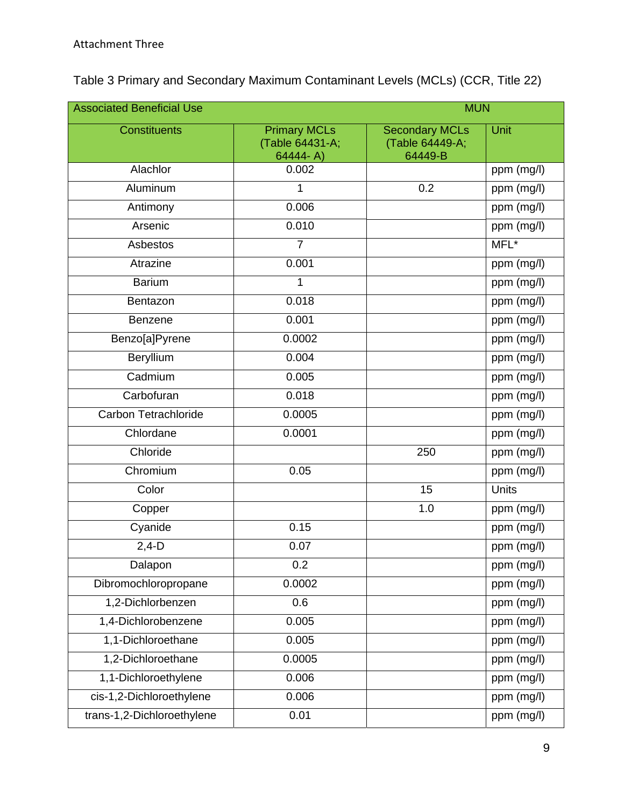| <b>Associated Beneficial Use</b><br><b>MUN</b> |                                                    |                                                     |            |  |
|------------------------------------------------|----------------------------------------------------|-----------------------------------------------------|------------|--|
| <b>Constituents</b>                            | <b>Primary MCLs</b><br>(Table 64431-A;<br>64444-A) | <b>Secondary MCLs</b><br>(Table 64449-A;<br>64449-B | Unit       |  |
| Alachlor                                       | 0.002                                              |                                                     | ppm (mg/l) |  |
| Aluminum                                       | 1                                                  | 0.2                                                 | ppm (mg/l) |  |
| Antimony                                       | 0.006                                              |                                                     | ppm (mg/l) |  |
| Arsenic                                        | 0.010                                              |                                                     | ppm (mg/l) |  |
| Asbestos                                       | $\overline{7}$                                     |                                                     | MFL*       |  |
| Atrazine                                       | 0.001                                              |                                                     | ppm (mg/l) |  |
| <b>Barium</b>                                  | 1                                                  |                                                     | ppm (mg/l) |  |
| Bentazon                                       | 0.018                                              |                                                     | ppm (mg/l) |  |
| <b>Benzene</b>                                 | 0.001                                              |                                                     | ppm (mg/l) |  |
| Benzo[a]Pyrene                                 | 0.0002                                             |                                                     | ppm (mg/l) |  |
| Beryllium                                      | 0.004                                              |                                                     | ppm (mg/l) |  |
| Cadmium                                        | 0.005                                              |                                                     | ppm (mg/l) |  |
| Carbofuran                                     | 0.018                                              |                                                     | ppm (mg/l) |  |
| Carbon Tetrachloride                           | 0.0005                                             |                                                     | ppm (mg/l) |  |
| Chlordane                                      | 0.0001                                             |                                                     | ppm (mg/l) |  |
| Chloride                                       |                                                    | 250                                                 | ppm (mg/l) |  |
| Chromium                                       | 0.05                                               |                                                     | ppm (mg/l) |  |
| Color                                          |                                                    | 15                                                  | Units      |  |
| Copper                                         |                                                    | 1.0                                                 | ppm (mg/l) |  |
| Cyanide                                        | 0.15                                               |                                                     | ppm (mg/l) |  |
| $2,4-D$                                        | 0.07                                               |                                                     | ppm (mg/l) |  |
| Dalapon                                        | 0.2                                                |                                                     | ppm (mg/l) |  |
| Dibromochloropropane                           | 0.0002                                             |                                                     | ppm (mg/l) |  |
| 1,2-Dichlorbenzen                              | 0.6                                                |                                                     | ppm (mg/l) |  |
| 1,4-Dichlorobenzene                            | 0.005                                              |                                                     | ppm (mg/l) |  |
| 1,1-Dichloroethane                             | 0.005                                              |                                                     | ppm (mg/l) |  |
| 1,2-Dichloroethane                             | 0.0005                                             |                                                     | ppm (mg/l) |  |
| 1,1-Dichloroethylene                           | 0.006                                              |                                                     | ppm (mg/l) |  |
| cis-1,2-Dichloroethylene                       | 0.006                                              |                                                     | ppm (mg/l) |  |
| trans-1,2-Dichloroethylene                     | 0.01                                               |                                                     | ppm (mg/l) |  |

## Table 3 Primary and Secondary Maximum Contaminant Levels (MCLs) (CCR, Title 22)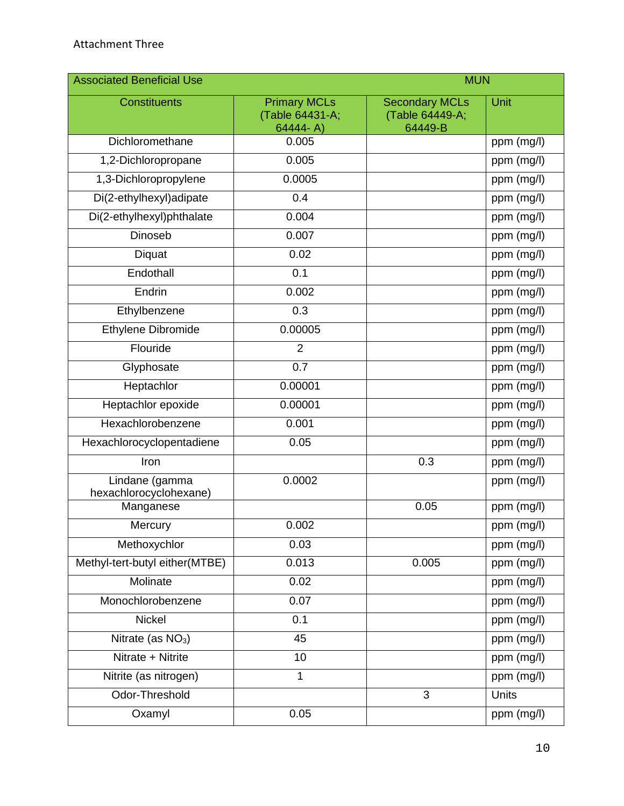| <b>Associated Beneficial Use</b>         |                                                    | <b>MUN</b>                                          |            |  |
|------------------------------------------|----------------------------------------------------|-----------------------------------------------------|------------|--|
| <b>Constituents</b>                      | <b>Primary MCLs</b><br>(Table 64431-A;<br>64444-A) | <b>Secondary MCLs</b><br>(Table 64449-A;<br>64449-B | Unit       |  |
| Dichloromethane                          | 0.005                                              |                                                     | ppm (mg/l) |  |
| 1,2-Dichloropropane                      | 0.005                                              |                                                     | ppm (mg/l) |  |
| 1,3-Dichloropropylene                    | 0.0005                                             |                                                     | ppm (mg/l) |  |
| Di(2-ethylhexyl)adipate                  | 0.4                                                |                                                     | ppm (mg/l) |  |
| Di(2-ethylhexyl)phthalate                | 0.004                                              |                                                     | ppm (mg/l) |  |
| <b>Dinoseb</b>                           | 0.007                                              |                                                     | ppm (mg/l) |  |
| Diquat                                   | 0.02                                               |                                                     | ppm (mg/l) |  |
| Endothall                                | 0.1                                                |                                                     | ppm (mg/l) |  |
| Endrin                                   | 0.002                                              |                                                     | ppm (mg/l) |  |
| Ethylbenzene                             | 0.3                                                |                                                     | ppm (mg/l) |  |
| Ethylene Dibromide                       | 0.00005                                            |                                                     | ppm (mg/l) |  |
| Flouride                                 | $\overline{2}$                                     |                                                     | ppm (mg/l) |  |
| Glyphosate                               | $\overline{0.7}$                                   |                                                     | ppm (mg/l) |  |
| Heptachlor                               | 0.00001                                            |                                                     | ppm (mg/l) |  |
| Heptachlor epoxide                       | 0.00001                                            |                                                     | ppm (mg/l) |  |
| Hexachlorobenzene                        | 0.001                                              |                                                     | ppm (mg/l) |  |
| Hexachlorocyclopentadiene                | 0.05                                               |                                                     | ppm (mg/l) |  |
| Iron                                     |                                                    | 0.3                                                 | ppm (mg/l) |  |
| Lindane (gamma<br>hexachlorocyclohexane) | 0.0002                                             |                                                     | ppm (mg/l) |  |
| Manganese                                |                                                    | 0.05                                                | ppm (mg/l) |  |
| Mercury                                  | 0.002                                              |                                                     | ppm (mg/l) |  |
| Methoxychlor                             | 0.03                                               |                                                     | ppm (mg/l) |  |
| Methyl-tert-butyl either(MTBE)           | 0.013                                              | 0.005                                               | ppm (mg/l) |  |
| Molinate                                 | 0.02                                               |                                                     | ppm (mg/l) |  |
| Monochlorobenzene                        | 0.07                                               |                                                     | ppm (mg/l) |  |
| <b>Nickel</b>                            | 0.1                                                |                                                     | ppm (mg/l) |  |
| Nitrate (as $NO3$ )                      | 45                                                 |                                                     | ppm (mg/l) |  |
| Nitrate + Nitrite                        | 10                                                 |                                                     | ppm (mg/l) |  |
| Nitrite (as nitrogen)                    | 1                                                  |                                                     | ppm (mg/l) |  |
| Odor-Threshold                           |                                                    | 3                                                   | Units      |  |
| Oxamyl                                   | 0.05                                               |                                                     | ppm (mg/l) |  |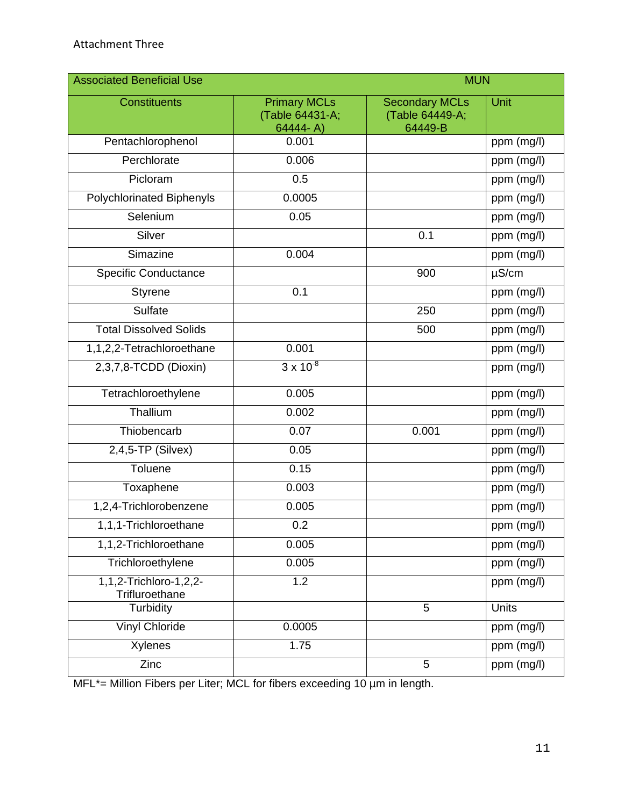| <b>Associated Beneficial Use</b>         |                                                    | <b>MUN</b>                                          |            |
|------------------------------------------|----------------------------------------------------|-----------------------------------------------------|------------|
| <b>Constituents</b>                      | <b>Primary MCLs</b><br>(Table 64431-A;<br>64444-A) | <b>Secondary MCLs</b><br>(Table 64449-A;<br>64449-B | Unit       |
| Pentachlorophenol                        | 0.001                                              |                                                     | ppm (mg/l) |
| Perchlorate                              | 0.006                                              |                                                     | ppm (mg/l) |
| Picloram                                 | 0.5                                                |                                                     | ppm (mg/l) |
| <b>Polychlorinated Biphenyls</b>         | 0.0005                                             |                                                     | ppm (mg/l) |
| Selenium                                 | 0.05                                               |                                                     | ppm (mg/l) |
| Silver                                   |                                                    | 0.1                                                 | ppm (mg/l) |
| Simazine                                 | 0.004                                              |                                                     | ppm (mg/l) |
| <b>Specific Conductance</b>              |                                                    | 900                                                 | $\mu$ S/cm |
| <b>Styrene</b>                           | 0.1                                                |                                                     | ppm (mg/l) |
| Sulfate                                  |                                                    | 250                                                 | ppm (mg/l) |
| <b>Total Dissolved Solids</b>            |                                                    | 500                                                 | ppm (mg/l) |
| 1,1,2,2-Tetrachloroethane                | 0.001                                              |                                                     | ppm (mg/l) |
| 2,3,7,8-TCDD (Dioxin)                    | $3 \times 10^{-8}$                                 |                                                     | ppm (mg/l) |
| Tetrachloroethylene                      | 0.005                                              |                                                     | ppm (mg/l) |
| Thallium                                 | 0.002                                              |                                                     | ppm (mg/l) |
| Thiobencarb                              | 0.07                                               | 0.001                                               | ppm (mg/l) |
| $2,4,5$ -TP (Silvex)                     | 0.05                                               |                                                     | ppm (mg/l) |
| Toluene                                  | 0.15                                               |                                                     | ppm (mg/l) |
| Toxaphene                                | 0.003                                              |                                                     | ppm (mg/l) |
| 1,2,4-Trichlorobenzene                   | 0.005                                              |                                                     | ppm (mg/l) |
| 1,1,1-Trichloroethane                    | 0.2                                                |                                                     | ppm (mg/l) |
| 1,1,2-Trichloroethane                    | 0.005                                              |                                                     | ppm (mg/l) |
| Trichloroethylene                        | 0.005                                              |                                                     | ppm (mg/l) |
| 1,1,2-Trichloro-1,2,2-<br>Trifluroethane | 1.2                                                |                                                     | ppm (mg/l) |
| Turbidity                                |                                                    | 5                                                   | Units      |
| <b>Vinyl Chloride</b>                    | 0.0005                                             |                                                     | ppm (mg/l) |
| Xylenes                                  | 1.75                                               |                                                     | ppm (mg/l) |
| Zinc                                     |                                                    | 5                                                   | ppm (mg/l) |

MFL\*= Million Fibers per Liter; MCL for fibers exceeding 10 µm in length.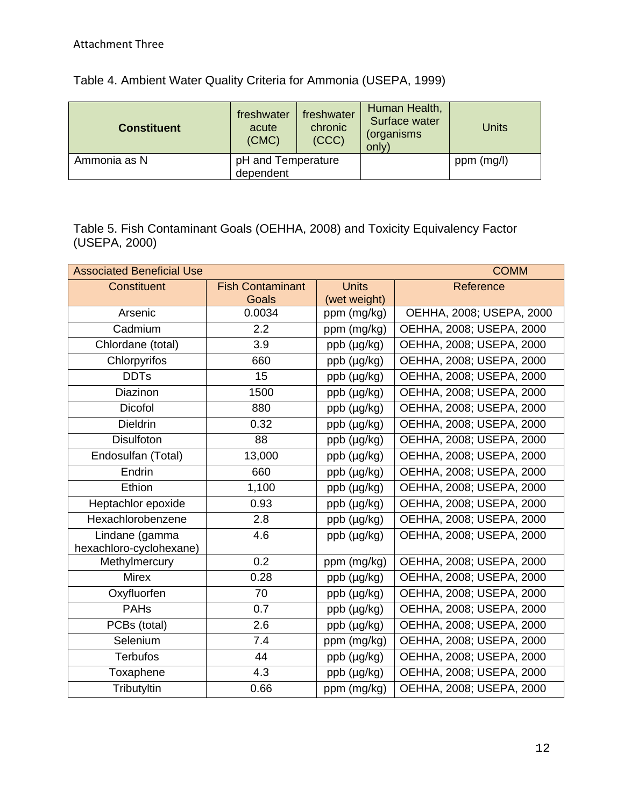| <b>Constituent</b> | freshwater<br>acute<br>(CMC) | freshwater<br>chronic<br>(CCC) | Human Health,<br>Surface water<br>(organisms<br>only) | <b>Units</b> |
|--------------------|------------------------------|--------------------------------|-------------------------------------------------------|--------------|
| Ammonia as N       | pH and Temperature           |                                |                                                       | ppm (mg/l)   |
|                    | dependent                    |                                |                                                       |              |

Table 5. Fish Contaminant Goals (OEHHA, 2008) and Toxicity Equivalency Factor (USEPA, 2000)

| <b>Associated Beneficial Use</b>          | <b>COMM</b>             |                     |                          |
|-------------------------------------------|-------------------------|---------------------|--------------------------|
| <b>Constituent</b>                        | <b>Fish Contaminant</b> | <b>Units</b>        | Reference                |
|                                           | Goals                   | (wet weight)        |                          |
| Arsenic                                   | 0.0034                  | ppm (mg/kg)         | OEHHA, 2008; USEPA, 2000 |
| Cadmium                                   | 2.2                     | ppm (mg/kg)         | OEHHA, 2008; USEPA, 2000 |
| Chlordane (total)                         | 3.9                     | $ppb$ ( $\mu$ g/kg) | OEHHA, 2008; USEPA, 2000 |
| Chlorpyrifos                              | 660                     | ppb (µg/kg)         | OEHHA, 2008; USEPA, 2000 |
| <b>DDTs</b>                               | 15                      | ppb (µg/kg)         | OEHHA, 2008; USEPA, 2000 |
| Diazinon                                  | 1500                    | ppb (µg/kg)         | OEHHA, 2008; USEPA, 2000 |
| Dicofol                                   | 880                     | ppb (µg/kg)         | OEHHA, 2008; USEPA, 2000 |
| <b>Dieldrin</b>                           | 0.32                    | ppb (µg/kg)         | OEHHA, 2008; USEPA, 2000 |
| <b>Disulfoton</b>                         | 88                      | ppb (µg/kg)         | OEHHA, 2008; USEPA, 2000 |
| Endosulfan (Total)                        | 13,000                  | ppb (µg/kg)         | OEHHA, 2008; USEPA, 2000 |
| Endrin                                    | 660                     | ppb (µg/kg)         | OEHHA, 2008; USEPA, 2000 |
| Ethion                                    | 1,100                   | ppb (µg/kg)         | OEHHA, 2008; USEPA, 2000 |
| Heptachlor epoxide                        | 0.93                    | ppb (µg/kg)         | OEHHA, 2008; USEPA, 2000 |
| Hexachlorobenzene                         | 2.8                     | ppb (µg/kg)         | OEHHA, 2008; USEPA, 2000 |
| Lindane (gamma<br>hexachloro-cyclohexane) | 4.6                     | ppb (µg/kg)         | OEHHA, 2008; USEPA, 2000 |
| Methylmercury                             | 0.2                     | ppm (mg/kg)         | OEHHA, 2008; USEPA, 2000 |
| <b>Mirex</b>                              | 0.28                    | ppb (µg/kg)         | OEHHA, 2008; USEPA, 2000 |
| Oxyfluorfen                               | 70                      | ppb (µg/kg)         | OEHHA, 2008; USEPA, 2000 |
| <b>PAHs</b>                               | 0.7                     | ppb (µg/kg)         | OEHHA, 2008; USEPA, 2000 |
| PCBs (total)                              | 2.6                     | ppb (µg/kg)         | OEHHA, 2008; USEPA, 2000 |
| Selenium                                  | 7.4                     | ppm (mg/kg)         | OEHHA, 2008; USEPA, 2000 |
| <b>Terbufos</b>                           | 44                      | ppb (µg/kg)         | OEHHA, 2008; USEPA, 2000 |
| Toxaphene                                 | 4.3                     | ppb (µg/kg)         | OEHHA, 2008; USEPA, 2000 |
| Tributyltin                               | 0.66                    | ppm (mg/kg)         | OEHHA, 2008; USEPA, 2000 |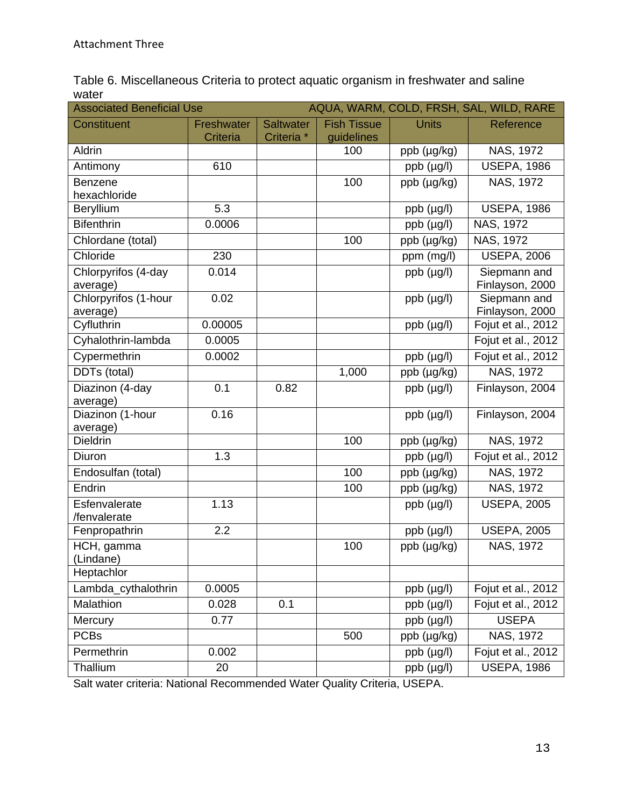Table 6. Miscellaneous Criteria to protect aquatic organism in freshwater and saline water

| AQUA, WARM, COLD, FRSH, SAL, WILD, RARE<br><b>Associated Beneficial Use</b> |            |                       |                    |                    |                                 |
|-----------------------------------------------------------------------------|------------|-----------------------|--------------------|--------------------|---------------------------------|
| <b>Constituent</b>                                                          | Freshwater | <b>Saltwater</b>      | <b>Fish Tissue</b> | <b>Units</b>       | Reference                       |
|                                                                             | Criteria   | Criteria <sup>*</sup> | guidelines         |                    |                                 |
| Aldrin                                                                      |            |                       | 100                | ppb (µg/kg)        | NAS, 1972                       |
| Antimony                                                                    | 610        |                       |                    | ppb (µg/l)         | <b>USEPA, 1986</b>              |
| Benzene                                                                     |            |                       | 100                | ppb (µg/kg)        | NAS, 1972                       |
| hexachloride                                                                |            |                       |                    |                    |                                 |
| Beryllium                                                                   | 5.3        |                       |                    | ppb (µg/l)         | <b>USEPA, 1986</b>              |
| <b>Bifenthrin</b>                                                           | 0.0006     |                       |                    | ppb (µg/l)         | NAS, 1972                       |
| Chlordane (total)                                                           |            |                       | 100                | ppb (µg/kg)        | NAS, 1972                       |
| Chloride                                                                    | 230        |                       |                    | ppm (mg/l)         | <b>USEPA, 2006</b>              |
| Chlorpyrifos (4-day<br>average)                                             | 0.014      |                       |                    | ppb (µg/l)         | Siepmann and<br>Finlayson, 2000 |
| Chlorpyrifos (1-hour<br>average)                                            | 0.02       |                       |                    | $ppb$ ( $\mu$ g/l) | Siepmann and<br>Finlayson, 2000 |
| Cyfluthrin                                                                  | 0.00005    |                       |                    | ppb (µg/l)         | Fojut et al., 2012              |
| Cyhalothrin-lambda                                                          | 0.0005     |                       |                    |                    | Fojut et al., 2012              |
| Cypermethrin                                                                | 0.0002     |                       |                    | ppb (µg/l)         | Fojut et al., 2012              |
| DDTs (total)                                                                |            |                       | 1,000              | ppb (µg/kg)        | NAS, 1972                       |
| Diazinon (4-day<br>average)                                                 | 0.1        | 0.82                  |                    | ppb (µg/l)         | Finlayson, 2004                 |
| Diazinon (1-hour<br>average)                                                | 0.16       |                       |                    | $ppb$ ( $\mu$ g/l) | Finlayson, 2004                 |
| Dieldrin                                                                    |            |                       | 100                | ppb (µg/kg)        | NAS, 1972                       |
| Diuron                                                                      | 1.3        |                       |                    | ppb (µg/l)         | Fojut et al., 2012              |
| Endosulfan (total)                                                          |            |                       | 100                | ppb (µg/kg)        | NAS, 1972                       |
| Endrin                                                                      |            |                       | 100                | ppb (µg/kg)        | NAS, 1972                       |
| Esfenvalerate<br>/fenvalerate                                               | 1.13       |                       |                    | ppb (µg/l)         | <b>USEPA, 2005</b>              |
| Fenpropathrin                                                               | 2.2        |                       |                    | $ppb$ ( $\mu$ g/l) | <b>USEPA, 2005</b>              |
| HCH, gamma<br>(Lindane)                                                     |            |                       | 100                | ppb (µg/kg)        | NAS, 1972                       |
| Heptachlor                                                                  |            |                       |                    |                    |                                 |
| Lambda_cythalothrin                                                         | 0.0005     |                       |                    | ppb (µg/l)         | Fojut et al., 2012              |
| Malathion                                                                   | 0.028      | 0.1                   |                    | ppb (µg/l)         | Fojut et al., 2012              |
| Mercury                                                                     | 0.77       |                       |                    | ppb (µg/l)         | <b>USEPA</b>                    |
| <b>PCBs</b>                                                                 |            |                       | 500                | ppb (µg/kg)        | NAS, 1972                       |
| Permethrin                                                                  | 0.002      |                       |                    | ppb (µg/l)         | Fojut et al., 2012              |
| Thallium                                                                    | 20         |                       |                    | ppb (µg/l)         | <b>USEPA, 1986</b>              |

Salt water criteria: National Recommended Water Quality Criteria, USEPA.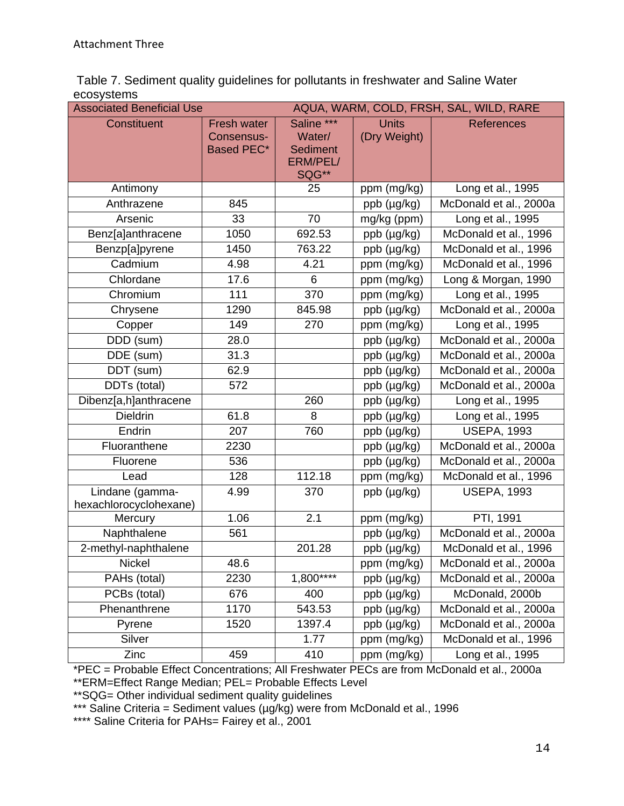Table 7. Sediment quality guidelines for pollutants in freshwater and Saline Water ecosystems

| AQUA, WARM, COLD, FRSH, SAL, WILD, RARE<br><b>Associated Beneficial Use</b> |                                                |                                                                     |                              |                        |
|-----------------------------------------------------------------------------|------------------------------------------------|---------------------------------------------------------------------|------------------------------|------------------------|
| <b>Constituent</b>                                                          | <b>Fresh water</b><br>Consensus-<br>Based PEC* | Saline ***<br>Water/<br><b>Sediment</b><br><b>ERM/PEL/</b><br>SQG** | <b>Units</b><br>(Dry Weight) | <b>References</b>      |
| Antimony                                                                    |                                                | 25                                                                  | ppm (mg/kg)                  | Long et al., 1995      |
| Anthrazene                                                                  | 845                                            |                                                                     | ppb (µg/kg)                  | McDonald et al., 2000a |
| Arsenic                                                                     | 33                                             | 70                                                                  | mg/kg (ppm)                  | Long et al., 1995      |
| Benz[a]anthracene                                                           | 1050                                           | 692.53                                                              | ppb (µg/kg)                  | McDonald et al., 1996  |
| Benzp[a]pyrene                                                              | 1450                                           | 763.22                                                              | ppb (µg/kg)                  | McDonald et al., 1996  |
| Cadmium                                                                     | 4.98                                           | 4.21                                                                | ppm (mg/kg)                  | McDonald et al., 1996  |
| Chlordane                                                                   | 17.6                                           | 6                                                                   | ppm (mg/kg)                  | Long & Morgan, 1990    |
| Chromium                                                                    | 111                                            | 370                                                                 | ppm (mg/kg)                  | Long et al., 1995      |
| Chrysene                                                                    | 1290                                           | 845.98                                                              | ppb (µg/kg)                  | McDonald et al., 2000a |
| Copper                                                                      | 149                                            | 270                                                                 | ppm (mg/kg)                  | Long et al., 1995      |
| DDD (sum)                                                                   | 28.0                                           |                                                                     | ppb (µg/kg)                  | McDonald et al., 2000a |
| DDE (sum)                                                                   | 31.3                                           |                                                                     | ppb (µg/kg)                  | McDonald et al., 2000a |
| DDT (sum)                                                                   | 62.9                                           |                                                                     | ppb (µg/kg)                  | McDonald et al., 2000a |
| DDTs (total)                                                                | 572                                            |                                                                     | ppb (µg/kg)                  | McDonald et al., 2000a |
| Dibenz[a,h]anthracene                                                       |                                                | 260                                                                 | ppb (µg/kg)                  | Long et al., 1995      |
| <b>Dieldrin</b>                                                             | 61.8                                           | 8                                                                   | ppb (µg/kg)                  | Long et al., 1995      |
| Endrin                                                                      | 207                                            | 760                                                                 | ppb (µg/kg)                  | <b>USEPA, 1993</b>     |
| Fluoranthene                                                                | 2230                                           |                                                                     | ppb (µg/kg)                  | McDonald et al., 2000a |
| Fluorene                                                                    | 536                                            |                                                                     | ppb (µg/kg)                  | McDonald et al., 2000a |
| Lead                                                                        | 128                                            | 112.18                                                              | ppm (mg/kg)                  | McDonald et al., 1996  |
| Lindane (gamma-<br>hexachlorocyclohexane)                                   | 4.99                                           | 370                                                                 | $ppb$ ( $\mu$ g/kg)          | <b>USEPA, 1993</b>     |
| Mercury                                                                     | 1.06                                           | 2.1                                                                 | ppm (mg/kg)                  | PTI, 1991              |
| Naphthalene                                                                 | 561                                            |                                                                     | ppb (µg/kg)                  | McDonald et al., 2000a |
| 2-methyl-naphthalene                                                        |                                                | 201.28                                                              | ppb (µg/kg)                  | McDonald et al., 1996  |
| Nickel                                                                      | 48.6                                           |                                                                     | ppm (mg/kg)                  | McDonald et al., 2000a |
| PAHs (total)                                                                | 2230                                           | $1,800***$                                                          | ppb (µg/kg)                  | McDonald et al., 2000a |
| PCBs (total)                                                                | 676                                            | 400                                                                 | ppb (µg/kg)                  | McDonald, 2000b        |
| Phenanthrene                                                                | 1170                                           | 543.53                                                              | ppb (µg/kg)                  | McDonald et al., 2000a |
| Pyrene                                                                      | 1520                                           | 1397.4                                                              | ppb (µg/kg)                  | McDonald et al., 2000a |
| Silver                                                                      |                                                | 1.77                                                                | ppm (mg/kg)                  | McDonald et al., 1996  |
| Zinc                                                                        | 459                                            | 410                                                                 | ppm (mg/kg)                  | Long et al., 1995      |

\*PEC = Probable Effect Concentrations; All Freshwater PECs are from McDonald et al., 2000a

\*\*ERM=Effect Range Median; PEL= Probable Effects Level \*\*SQG= Other individual sediment quality guidelines

\*\*\* Saline Criteria = Sediment values (µg/kg) were from McDonald et al., 1996

\*\*\*\* Saline Criteria for PAHs= Fairey et al., 2001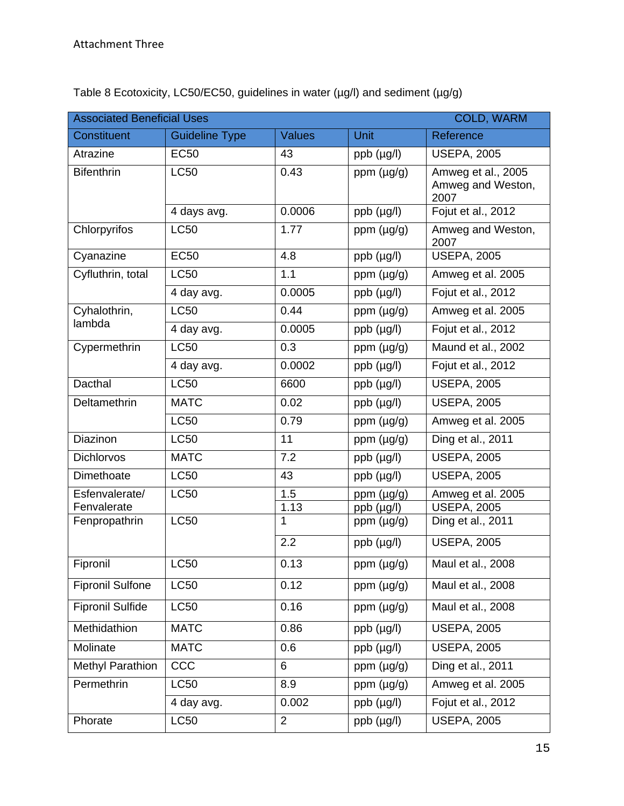| <b>Associated Beneficial Uses</b><br><b>COLD, WARM</b> |                       |                |                    |                                                 |  |
|--------------------------------------------------------|-----------------------|----------------|--------------------|-------------------------------------------------|--|
| <b>Constituent</b>                                     | <b>Guideline Type</b> | <b>Values</b>  | <b>Unit</b>        | Reference                                       |  |
| Atrazine                                               | <b>EC50</b>           | 43             | $ppb$ ( $\mu$ g/l) | <b>USEPA, 2005</b>                              |  |
| <b>Bifenthrin</b>                                      | <b>LC50</b>           | 0.43           | ppm $(\mu g/g)$    | Amweg et al., 2005<br>Amweg and Weston,<br>2007 |  |
|                                                        | 4 days avg.           | 0.0006         | $ppb$ ( $\mu$ g/l) | Fojut et al., 2012                              |  |
| Chlorpyrifos                                           | <b>LC50</b>           | 1.77           | ppm $(\mu g/g)$    | Amweg and Weston,<br>2007                       |  |
| Cyanazine                                              | <b>EC50</b>           | 4.8            | $ppb$ ( $\mu$ g/l) | <b>USEPA, 2005</b>                              |  |
| Cyfluthrin, total                                      | <b>LC50</b>           | 1.1            | ppm (µg/g)         | Amweg et al. 2005                               |  |
|                                                        | 4 day avg.            | 0.0005         | $ppb$ ( $\mu$ g/l) | Fojut et al., 2012                              |  |
| Cyhalothrin,                                           | <b>LC50</b>           | 0.44           | ppm (µg/g)         | Amweg et al. 2005                               |  |
| lambda                                                 | 4 day avg.            | 0.0005         | $ppb$ ( $\mu$ g/l) | Fojut et al., 2012                              |  |
| Cypermethrin                                           | <b>LC50</b>           | 0.3            | ppm (µg/g)         | Maund et al., 2002                              |  |
|                                                        | 4 day avg.            | 0.0002         | ppb (µg/l)         | Fojut et al., 2012                              |  |
| Dacthal                                                | <b>LC50</b>           | 6600           | ppb (µg/l)         | <b>USEPA, 2005</b>                              |  |
| Deltamethrin                                           | <b>MATC</b>           | 0.02           | $ppb$ ( $\mu$ g/l) | <b>USEPA, 2005</b>                              |  |
|                                                        | <b>LC50</b>           | 0.79           | ppm (µg/g)         | Amweg et al. 2005                               |  |
| Diazinon                                               | <b>LC50</b>           | 11             | ppm (µg/g)         | Ding et al., 2011                               |  |
| <b>Dichlorvos</b>                                      | <b>MATC</b>           | 7.2            | $ppb$ ( $\mu$ g/l) | <b>USEPA, 2005</b>                              |  |
| Dimethoate                                             | <b>LC50</b>           | 43             | ppb (µg/l)         | <b>USEPA, 2005</b>                              |  |
| Esfenvalerate/                                         | <b>LC50</b>           | 1.5            | ppm (µg/g)         | Amweg et al. 2005                               |  |
| Fenvalerate                                            |                       | 1.13           | ppb (µg/l)         | <b>USEPA, 2005</b>                              |  |
| Fenpropathrin                                          | <b>LC50</b>           | 1              | ppm (µg/g)         | Ding et al., 2011                               |  |
|                                                        |                       | 2.2            | ppb (µg/l)         | <b>USEPA, 2005</b>                              |  |
| Fipronil                                               | C <sub>50</sub>       | 0.13           | ppm (µg/g)         | Maul et al., 2008                               |  |
| <b>Fipronil Sulfone</b>                                | <b>LC50</b>           | 0.12           | ppm (µg/g)         | Maul et al., 2008                               |  |
| <b>Fipronil Sulfide</b>                                | <b>LC50</b>           | 0.16           | ppm (µg/g)         | Maul et al., 2008                               |  |
| Methidathion                                           | <b>MATC</b>           | 0.86           | $ppb$ ( $\mu$ g/l) | <b>USEPA, 2005</b>                              |  |
| Molinate                                               | <b>MATC</b>           | 0.6            | $ppb$ ( $\mu$ g/l) | <b>USEPA, 2005</b>                              |  |
| <b>Methyl Parathion</b>                                | <b>CCC</b>            | 6              | ppm (µg/g)         | Ding et al., 2011                               |  |
| Permethrin                                             | <b>LC50</b>           | 8.9            | ppm (µg/g)         | Amweg et al. 2005                               |  |
|                                                        | 4 day avg.            | 0.002          | $ppb$ ( $\mu$ g/l) | Fojut et al., 2012                              |  |
| Phorate                                                | LC50                  | $\overline{2}$ | $ppb$ ( $\mu$ g/l) | <b>USEPA, 2005</b>                              |  |

Table 8 Ecotoxicity, LC50/EC50, guidelines in water (µg/l) and sediment (µg/g)